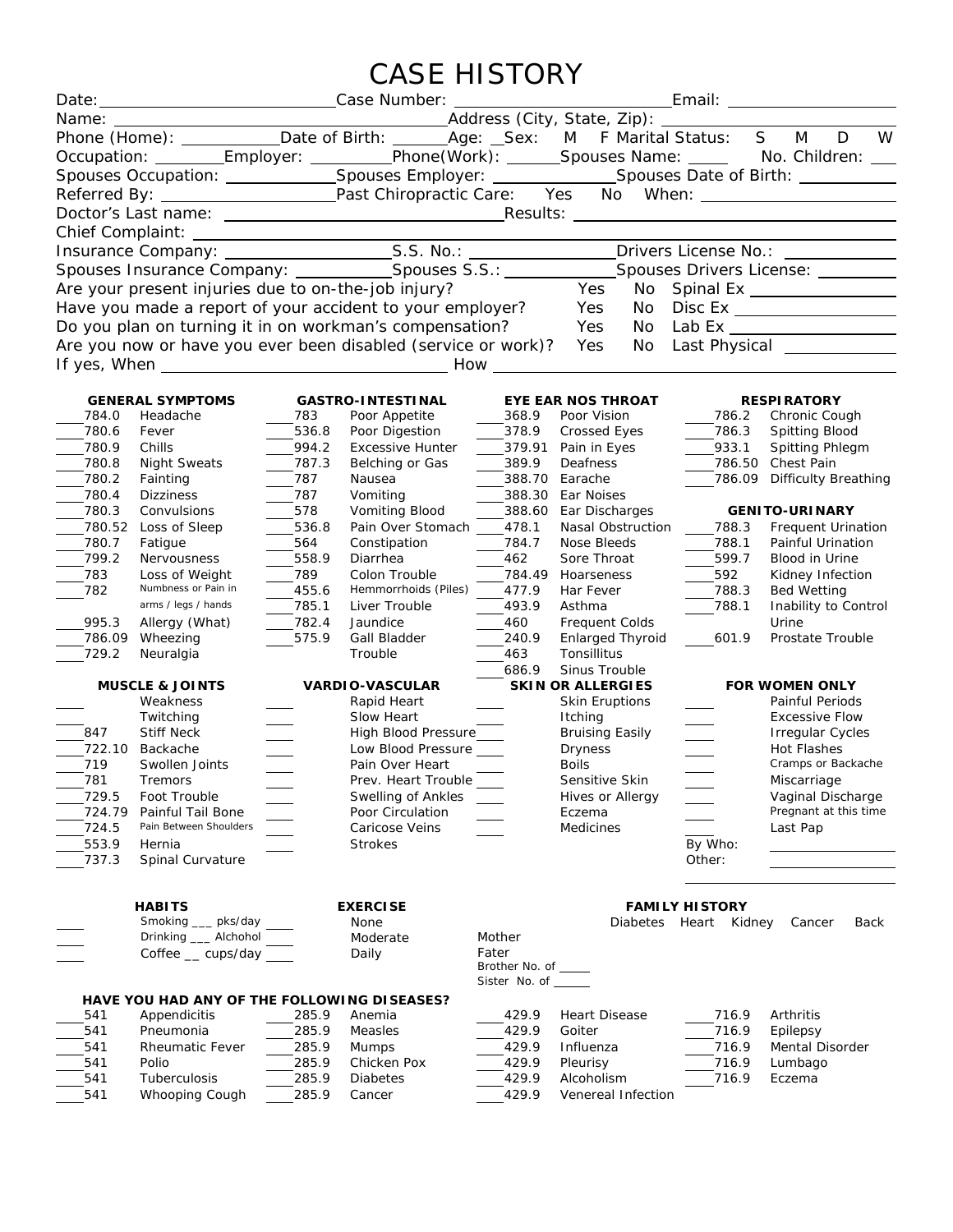## CASE HISTORY

|                                                                                                      | Date: Case Number:                                        |            |                                                               |                                              | <u>Email: Email: Email: Email: Email: Email: Email: Email: Email: Email: Email: Email: Email: Email: Email: Email: Email: Email: Email: Email: Email: Email: Email: Email: Email: Email: Email: Email: Email: Email: Email: Emai</u> |                                          |                                                                                                            |  |  |
|------------------------------------------------------------------------------------------------------|-----------------------------------------------------------|------------|---------------------------------------------------------------|----------------------------------------------|--------------------------------------------------------------------------------------------------------------------------------------------------------------------------------------------------------------------------------------|------------------------------------------|------------------------------------------------------------------------------------------------------------|--|--|
| Name:                                                                                                |                                                           |            |                                                               |                                              |                                                                                                                                                                                                                                      |                                          |                                                                                                            |  |  |
| Phone (Home): ____________Date of Birth: _______Age: __Sex: M F Marital Status: S                    |                                                           |            |                                                               |                                              | W<br>D<br>M                                                                                                                                                                                                                          |                                          |                                                                                                            |  |  |
|                                                                                                      |                                                           |            |                                                               |                                              |                                                                                                                                                                                                                                      |                                          | Occupation: ________Employer: _________Phone(Work): ______Spouses Name: _____ No. Children: ___            |  |  |
|                                                                                                      |                                                           |            |                                                               |                                              |                                                                                                                                                                                                                                      |                                          | Spouses Occupation: ________________Spouses Employer: ________________Spouses Date of Birth: _____________ |  |  |
|                                                                                                      |                                                           |            |                                                               |                                              |                                                                                                                                                                                                                                      |                                          |                                                                                                            |  |  |
|                                                                                                      |                                                           |            |                                                               |                                              |                                                                                                                                                                                                                                      |                                          |                                                                                                            |  |  |
|                                                                                                      |                                                           |            |                                                               |                                              |                                                                                                                                                                                                                                      |                                          |                                                                                                            |  |  |
|                                                                                                      |                                                           |            |                                                               |                                              |                                                                                                                                                                                                                                      |                                          |                                                                                                            |  |  |
|                                                                                                      |                                                           |            |                                                               |                                              |                                                                                                                                                                                                                                      |                                          |                                                                                                            |  |  |
| Spouses Insurance Company: _____________Spouses S.S.: _____________Spouses Drivers License: ________ |                                                           |            |                                                               |                                              |                                                                                                                                                                                                                                      |                                          |                                                                                                            |  |  |
|                                                                                                      | Are your present injuries due to on-the-job injury?       |            |                                                               |                                              | Yes                                                                                                                                                                                                                                  |                                          | No Spinal Ex<br><u>No Spinal Ex</u> Subset                                                                 |  |  |
|                                                                                                      | Have you made a report of your accident to your employer? |            |                                                               |                                              | Yes                                                                                                                                                                                                                                  |                                          | No Disc Ex ___________________                                                                             |  |  |
| Do you plan on turning it in on workman's compensation?                                              |                                                           |            |                                                               |                                              | Yes                                                                                                                                                                                                                                  |                                          | No Lab Ex ___________________                                                                              |  |  |
|                                                                                                      |                                                           |            | Are you now or have you ever been disabled (service or work)? |                                              | Yes<br>No                                                                                                                                                                                                                            |                                          |                                                                                                            |  |  |
|                                                                                                      |                                                           |            |                                                               |                                              |                                                                                                                                                                                                                                      |                                          |                                                                                                            |  |  |
|                                                                                                      |                                                           |            |                                                               |                                              |                                                                                                                                                                                                                                      |                                          |                                                                                                            |  |  |
|                                                                                                      | <b>GENERAL SYMPTOMS</b>                                   |            | <b>GASTRO-INTESTINAL</b>                                      |                                              | <b>EYE EAR NOS THROAT</b>                                                                                                                                                                                                            |                                          | <b>RESPIRATORY</b>                                                                                         |  |  |
| 784.0                                                                                                | Headache                                                  | 783        | Poor Appetite                                                 | 368.9                                        | Poor Vision                                                                                                                                                                                                                          | $-786.2$                                 | Chronic Cough                                                                                              |  |  |
| 780.6                                                                                                | Fever                                                     | 536.8      | Poor Digestion                                                | 378.9                                        | Crossed Eyes                                                                                                                                                                                                                         | 786.3                                    | Spitting Blood                                                                                             |  |  |
| 780.9                                                                                                | Chills                                                    | 994.2      | <b>Excessive Hunter</b>                                       | 379.91                                       | Pain in Eyes                                                                                                                                                                                                                         | 933.1                                    | Spitting Phlegm                                                                                            |  |  |
| 780.8                                                                                                | <b>Night Sweats</b>                                       | $-787.3$   | Belching or Gas                                               | 389.9                                        | Deafness                                                                                                                                                                                                                             | ____786.50 Chest Pain                    |                                                                                                            |  |  |
| 780.2                                                                                                | Fainting                                                  | 787        | Nausea                                                        | 388.70                                       | Earache                                                                                                                                                                                                                              | 786.09                                   | <b>Difficulty Breathing</b>                                                                                |  |  |
| 780.4<br>780.3                                                                                       | <b>Dizziness</b>                                          | 787<br>578 | Vomiting                                                      | 388.30                                       | Ear Noises                                                                                                                                                                                                                           |                                          |                                                                                                            |  |  |
| 780.52                                                                                               | Convulsions<br>Loss of Sleep                              | 536.8      | Vomiting Blood<br>Pain Over Stomach                           | 388.60<br>478.1                              | Ear Discharges<br>Nasal Obstruction                                                                                                                                                                                                  | 788.3                                    | <b>GENITO-URINARY</b><br>Frequent Urination                                                                |  |  |
| 780.7                                                                                                | Fatigue                                                   | 564        | Constipation                                                  | 784.7                                        | Nose Bleeds                                                                                                                                                                                                                          | 788.1                                    | Painful Urination                                                                                          |  |  |
| 799.2                                                                                                | Nervousness                                               | 558.9      | Diarrhea                                                      | 462                                          | Sore Throat                                                                                                                                                                                                                          | 599.7                                    | Blood in Urine                                                                                             |  |  |
| 783                                                                                                  | Loss of Weight                                            | 789        | Colon Trouble                                                 | 784.49                                       | Hoarseness                                                                                                                                                                                                                           | 592<br>$\mathcal{L}$                     | Kidney Infection                                                                                           |  |  |
| 782                                                                                                  | Numbness or Pain in                                       | 455.6      | Hemmorrhoids (Piles)                                          | 477.9                                        | Har Fever                                                                                                                                                                                                                            | 788.3                                    | <b>Bed Wetting</b>                                                                                         |  |  |
|                                                                                                      | arms / legs / hands                                       | 785.1      | Liver Trouble                                                 | 493.9                                        | Asthma                                                                                                                                                                                                                               | 788.1                                    | Inability to Control                                                                                       |  |  |
| 995.3                                                                                                | Allergy (What)                                            | 782.4      | Jaundice                                                      | 460                                          | <b>Frequent Colds</b>                                                                                                                                                                                                                |                                          | Urine                                                                                                      |  |  |
| 786.09                                                                                               | Wheezing                                                  | 575.9      | Gall Bladder                                                  | 240.9                                        | Enlarged Thyroid                                                                                                                                                                                                                     | 601.9                                    | Prostate Trouble                                                                                           |  |  |
| 729.2                                                                                                | Neuralgia                                                 |            | Trouble                                                       | 463                                          | Tonsillitus                                                                                                                                                                                                                          |                                          |                                                                                                            |  |  |
|                                                                                                      |                                                           |            |                                                               | 686.9                                        | Sinus Trouble                                                                                                                                                                                                                        |                                          |                                                                                                            |  |  |
| <b>MUSCLE &amp; JOINTS</b><br>Weakness                                                               |                                                           |            | <b>VARDIO-VASCULAR</b><br>Rapid Heart                         |                                              | <b>SKIN OR ALLERGIES</b><br>Skin Eruptions                                                                                                                                                                                           | <b>FOR WOMEN ONLY</b><br>Painful Periods |                                                                                                            |  |  |
|                                                                                                      | Twitching                                                 |            | Slow Heart                                                    |                                              | Itching                                                                                                                                                                                                                              |                                          | <b>Excessive Flow</b>                                                                                      |  |  |
| 847                                                                                                  | <b>Stiff Neck</b>                                         |            | High Blood Pressure____                                       |                                              | <b>Bruising Easily</b>                                                                                                                                                                                                               |                                          | <b>Irregular Cycles</b>                                                                                    |  |  |
| 722.10                                                                                               | Backache                                                  |            | Low Blood Pressure                                            |                                              | <b>Dryness</b>                                                                                                                                                                                                                       |                                          | Hot Flashes                                                                                                |  |  |
| 719                                                                                                  | Swollen Joints                                            |            | Pain Over Heart                                               |                                              | <b>Boils</b>                                                                                                                                                                                                                         |                                          | Cramps or Backache                                                                                         |  |  |
| 781                                                                                                  | Tremors                                                   |            | Prev. Heart Trouble                                           |                                              | Sensitive Skin                                                                                                                                                                                                                       |                                          | Miscarriage                                                                                                |  |  |
| 729.5                                                                                                | Foot Trouble                                              |            | Swelling of Ankles                                            |                                              | Hives or Allergy                                                                                                                                                                                                                     |                                          | Vaginal Discharge                                                                                          |  |  |
| 724.79                                                                                               | Painful Tail Bone<br>Pain Between Shoulders               |            | Poor Circulation                                              |                                              | Eczema                                                                                                                                                                                                                               |                                          | Pregnant at this time                                                                                      |  |  |
| 724.5                                                                                                |                                                           |            | Caricose Veins                                                |                                              | <b>Medicines</b>                                                                                                                                                                                                                     |                                          | Last Pap                                                                                                   |  |  |
| 553.9<br>737.3                                                                                       | Hernia<br>Spinal Curvature                                |            | <b>Strokes</b>                                                |                                              |                                                                                                                                                                                                                                      | By Who:<br>Other:                        |                                                                                                            |  |  |
|                                                                                                      |                                                           |            |                                                               |                                              |                                                                                                                                                                                                                                      |                                          |                                                                                                            |  |  |
|                                                                                                      |                                                           |            |                                                               |                                              |                                                                                                                                                                                                                                      |                                          |                                                                                                            |  |  |
| <b>HABITS</b><br><b>EXERCISE</b>                                                                     |                                                           |            |                                                               |                                              | <b>FAMILY HISTORY</b>                                                                                                                                                                                                                |                                          |                                                                                                            |  |  |
|                                                                                                      | Smoking __ pks/day                                        |            | None                                                          |                                              | <b>Diabetes</b>                                                                                                                                                                                                                      | Heart Kidney                             | Cancer<br>Back                                                                                             |  |  |
|                                                                                                      | Drinking ___ Alchohol                                     |            | Moderate                                                      | Mother                                       |                                                                                                                                                                                                                                      |                                          |                                                                                                            |  |  |
|                                                                                                      | Coffee _ cups/day                                         |            | Daily                                                         | Fater                                        |                                                                                                                                                                                                                                      |                                          |                                                                                                            |  |  |
|                                                                                                      |                                                           |            |                                                               | Brother No. of _____<br>Sister No. of ______ |                                                                                                                                                                                                                                      |                                          |                                                                                                            |  |  |
|                                                                                                      | HAVE YOU HAD ANY OF THE FOLLOWING DISEASES?               |            |                                                               |                                              |                                                                                                                                                                                                                                      |                                          |                                                                                                            |  |  |
| 541                                                                                                  | Appendicitis                                              | 285.9      | Anemia                                                        | 429.9                                        | <b>Heart Disease</b>                                                                                                                                                                                                                 | 716.9                                    | Arthritis                                                                                                  |  |  |
| 541                                                                                                  | Pneumonia                                                 | 285.9      | Measles                                                       | 429.9                                        | Goiter                                                                                                                                                                                                                               | 716.9                                    | Epilepsy                                                                                                   |  |  |
| 541                                                                                                  | <b>Rheumatic Fever</b>                                    | 285.9      | <b>Mumps</b>                                                  | 429.9                                        | Influenza                                                                                                                                                                                                                            | 716.9                                    | Mental Disorder                                                                                            |  |  |
| 541                                                                                                  | Polio                                                     | 285.9      | Chicken Pox                                                   | 429.9                                        | Pleurisy                                                                                                                                                                                                                             | 716.9                                    | Lumbago                                                                                                    |  |  |
| 541                                                                                                  | Tuberculosis                                              | 285.9      | Diabetes                                                      | 429.9                                        | Alcoholism                                                                                                                                                                                                                           | 716.9                                    | Eczema                                                                                                     |  |  |
| 541                                                                                                  | Whooping Cough                                            | 285.9      | Cancer                                                        | 429.9                                        | Venereal Infection                                                                                                                                                                                                                   |                                          |                                                                                                            |  |  |